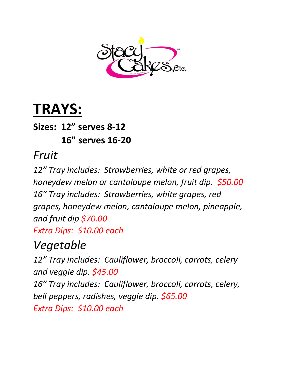

# **TRAYS:**

**Sizes: 12" serves 8-12 16" serves 16-20**

#### *Fruit*

*12" Tray includes: Strawberries, white or red grapes, honeydew melon or cantaloupe melon, fruit dip. \$50.00 16" Tray includes: Strawberries, white grapes, red grapes, honeydew melon, cantaloupe melon, pineapple, and fruit dip \$70.00 Extra Dips: \$10.00 each*

# *Vegetable*

*12" Tray includes: Cauliflower, broccoli, carrots, celery and veggie dip. \$45.00 16" Tray includes: Cauliflower, broccoli, carrots, celery, bell peppers, radishes, veggie dip. \$65.00 Extra Dips: \$10.00 each*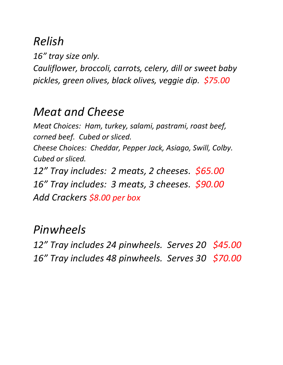# *Relish*

*16" tray size only. Cauliflower, broccoli, carrots, celery, dill or sweet baby pickles, green olives, black olives, veggie dip. \$75.00*

#### *Meat and Cheese*

*Meat Choices: Ham, turkey, salami, pastrami, roast beef, corned beef. Cubed or sliced. Cheese Choices: Cheddar, Pepper Jack, Asiago, Swill, Colby.* 

*Cubed or sliced.*

*12" Tray includes: 2 meats, 2 cheeses. \$65.00 16" Tray includes: 3 meats, 3 cheeses. \$90.00 Add Crackers \$8.00 per box*

#### *Pinwheels*

*12" Tray includes 24 pinwheels. Serves 20 \$45.00 16" Tray includes 48 pinwheels. Serves 30 \$70.00*